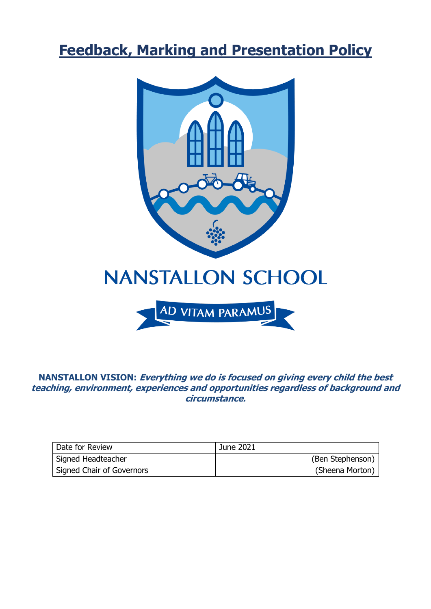# **Feedback, Marking and Presentation Policy**



**NANSTALLON VISION: Everything we do is focused on giving every child the best teaching, environment, experiences and opportunities regardless of background and circumstance.**

| Date for Review           | June 2021        |
|---------------------------|------------------|
| Signed Headteacher        | (Ben Stephenson) |
| Signed Chair of Governors | (Sheena Morton)  |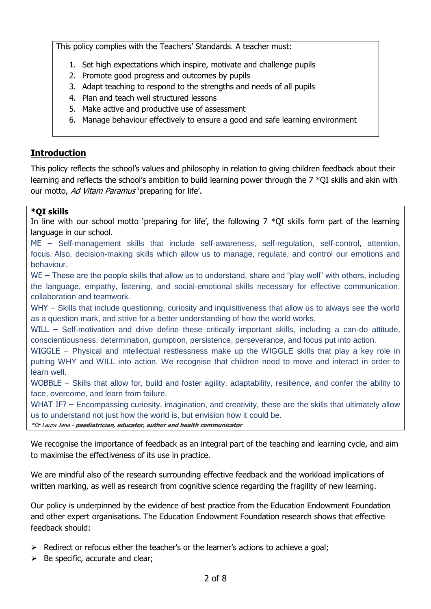This policy complies with the Teachers' Standards. A teacher must:

- 1. Set high expectations which inspire, motivate and challenge pupils
- 2. Promote good progress and outcomes by pupils
- 3. Adapt teaching to respond to the strengths and needs of all pupils
- 4. Plan and teach well structured lessons
- 5. Make active and productive use of assessment
- 6. Manage behaviour effectively to ensure a good and safe learning environment

#### **Introduction**

This policy reflects the school's values and philosophy in relation to giving children feedback about their learning and reflects the school's ambition to build learning power through the 7 \*QI skills and akin with our motto, Ad Vitam Paramus' preparing for life'.

#### **\*QI skills**

In line with our school motto 'preparing for life', the following  $7 * QI$  skills form part of the learning language in our school.

ME – Self-management skills that include self-awareness, self-regulation, self-control, attention, focus. Also, decision-making skills which allow us to manage, regulate, and control our emotions and behaviour.

WE – These are the people skills that allow us to understand, share and "play well" with others, including the language, empathy, listening, and social-emotional skills necessary for effective communication, collaboration and teamwork.

WHY – Skills that include questioning, curiosity and inquisitiveness that allow us to always see the world as a question mark, and strive for a better understanding of how the world works.

WILL – Self-motivation and drive define these critically important skills, including a can-do attitude, conscientiousness, determination, gumption, persistence, perseverance, and focus put into action.

WIGGLE – Physical and intellectual restlessness make up the WIGGLE skills that play a key role in putting WHY and WILL into action. We recognise that children need to move and interact in order to learn well.

WOBBLE – Skills that allow for, build and foster agility, adaptability, resilience, and confer the ability to face, overcome, and learn from failure.

WHAT IF? – Encompassing curiosity, imagination, and creativity, these are the skills that ultimately allow us to understand not just how the world is, but envision how it could be.

\*Dr Laura Jana - **paediatrician, educator, author and health communicator**

We recognise the importance of feedback as an integral part of the teaching and learning cycle, and aim to maximise the effectiveness of its use in practice.

We are mindful also of the research surrounding effective feedback and the workload implications of written marking, as well as research from cognitive science regarding the fragility of new learning.

Our policy is underpinned by the evidence of best practice from the Education Endowment Foundation and other expert organisations. The Education Endowment Foundation research shows that effective feedback should:

- $\triangleright$  Redirect or refocus either the teacher's or the learner's actions to achieve a goal;
- $\triangleright$  Be specific, accurate and clear;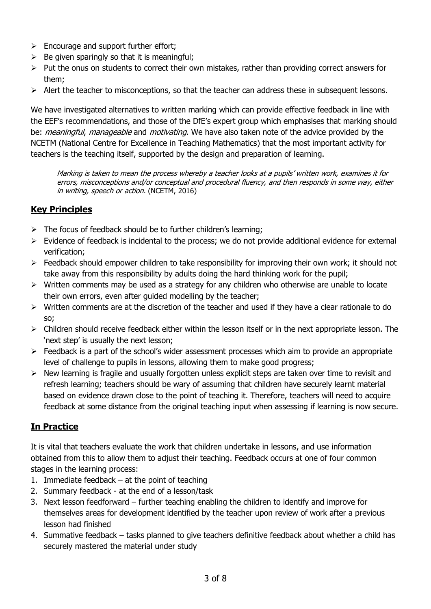- $\triangleright$  Encourage and support further effort;
- $\triangleright$  Be given sparingly so that it is meaningful;
- $\triangleright$  Put the onus on students to correct their own mistakes, rather than providing correct answers for them;
- $\triangleright$  Alert the teacher to misconceptions, so that the teacher can address these in subsequent lessons.

We have investigated alternatives to written marking which can provide effective feedback in line with the EEF's recommendations, and those of the DfE's expert group which emphasises that marking should be: *meaningful, manageable* and *motivating*. We have also taken note of the advice provided by the NCETM (National Centre for Excellence in Teaching Mathematics) that the most important activity for teachers is the teaching itself, supported by the design and preparation of learning.

Marking is taken to mean the process whereby a teacher looks at a pupils' written work, examines it for errors, misconceptions and/or conceptual and procedural fluency, and then responds in some way, either in writing, speech or action. (NCETM, 2016)

# **Key Principles**

- $\triangleright$  The focus of feedback should be to further children's learning;
- $\triangleright$  Evidence of feedback is incidental to the process; we do not provide additional evidence for external verification;
- $\triangleright$  Feedback should empower children to take responsibility for improving their own work; it should not take away from this responsibility by adults doing the hard thinking work for the pupil;
- $\triangleright$  Written comments may be used as a strategy for any children who otherwise are unable to locate their own errors, even after guided modelling by the teacher;
- $\triangleright$  Written comments are at the discretion of the teacher and used if they have a clear rationale to do so;
- $\triangleright$  Children should receive feedback either within the lesson itself or in the next appropriate lesson. The 'next step' is usually the next lesson;
- $\triangleright$  Feedback is a part of the school's wider assessment processes which aim to provide an appropriate level of challenge to pupils in lessons, allowing them to make good progress;
- $\triangleright$  New learning is fragile and usually forgotten unless explicit steps are taken over time to revisit and refresh learning; teachers should be wary of assuming that children have securely learnt material based on evidence drawn close to the point of teaching it. Therefore, teachers will need to acquire feedback at some distance from the original teaching input when assessing if learning is now secure.

# **In Practice**

It is vital that teachers evaluate the work that children undertake in lessons, and use information obtained from this to allow them to adjust their teaching. Feedback occurs at one of four common stages in the learning process:

- 1. Immediate feedback  $-$  at the point of teaching
- 2. Summary feedback at the end of a lesson/task
- 3. Next lesson feedforward further teaching enabling the children to identify and improve for themselves areas for development identified by the teacher upon review of work after a previous lesson had finished
- 4. Summative feedback tasks planned to give teachers definitive feedback about whether a child has securely mastered the material under study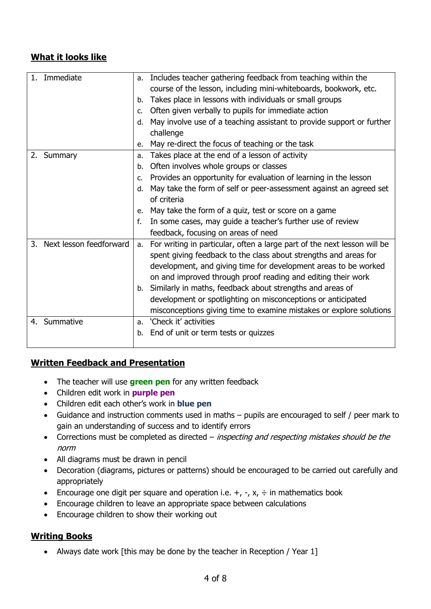# **What it looks like**

| Immediate                     | a.            | Includes teacher gathering feedback from teaching within the             |
|-------------------------------|---------------|--------------------------------------------------------------------------|
|                               |               | course of the lesson, including mini-whiteboards, bookwork, etc.         |
|                               | b.            | Takes place in lessons with individuals or small groups                  |
|                               | $C_{\bullet}$ | Often given verbally to pupils for immediate action                      |
|                               |               | d. May involve use of a teaching assistant to provide support or further |
|                               |               | challenge                                                                |
|                               | e.            | May re-direct the focus of teaching or the task                          |
| 2. Summary                    | a.            | Takes place at the end of a lesson of activity                           |
|                               | b.            | Often involves whole groups or classes                                   |
|                               | $C_{1}$       | Provides an opportunity for evaluation of learning in the lesson         |
|                               | d.            | May take the form of self or peer-assessment against an agreed set       |
|                               |               | of criteria                                                              |
|                               | e.            | May take the form of a quiz, test or score on a game                     |
|                               | f.            | In some cases, may guide a teacher's further use of review               |
|                               |               | feedback, focusing on areas of need                                      |
| Next lesson feedforward<br>3. | a.            | For writing in particular, often a large part of the next lesson will be |
|                               |               | spent giving feedback to the class about strengths and areas for         |
|                               |               | development, and giving time for development areas to be worked          |
|                               |               | on and improved through proof reading and editing their work             |
|                               |               | b. Similarly in maths, feedback about strengths and areas of             |
|                               |               | development or spotlighting on misconceptions or anticipated             |
|                               |               | misconceptions giving time to examine mistakes or explore solutions      |
| Summative<br>4.               | a.            | 'Check it' activities                                                    |
|                               | b.            | End of unit or term tests or quizzes                                     |
|                               |               |                                                                          |

#### **Written Feedback and Presentation**

- The teacher will use **green pen** for any written feedback
- Children edit work in **purple pen**
- Children edit each other's work in **blue pen**
- Guidance and instruction comments used in maths pupils are encouraged to self / peer mark to gain an understanding of success and to identify errors
- Corrections must be completed as directed *inspecting and respecting mistakes should be the* norm
- All diagrams must be drawn in pencil
- Decoration (diagrams, pictures or patterns) should be encouraged to be carried out carefully and appropriately
- **Encourage one digit per square and operation i.e.**  $+$ **,**  $-$ **,**  $x$ **,**  $\div$  **in mathematics book**
- Encourage children to leave an appropriate space between calculations
- Encourage children to show their working out

# **Writing Books**

• Always date work [this may be done by the teacher in Reception / Year 1]